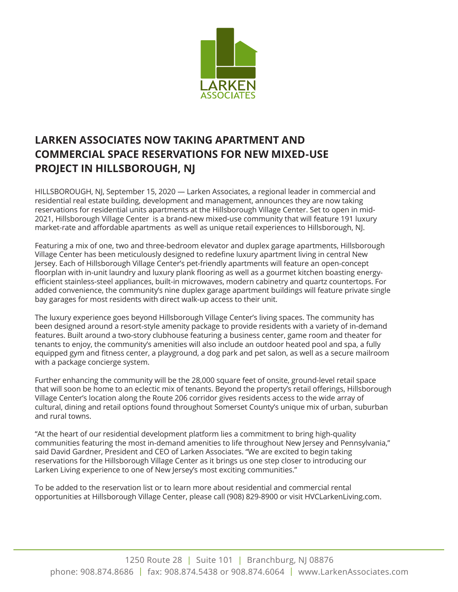

## **LARKEN ASSOCIATES NOW TAKING APARTMENT AND COMMERCIAL SPACE RESERVATIONS FOR NEW MIXED-USE PROJECT IN HILLSBOROUGH, NJ**

HILLSBOROUGH, NJ, September 15, 2020 — Larken Associates, a regional leader in commercial and residential real estate building, development and management, announces they are now taking reservations for residential units apartments at the Hillsborough Village Center. Set to open in mid-2021, Hillsborough Village Center is a brand-new mixed-use community that will feature 191 luxury market-rate and affordable apartments as well as unique retail experiences to Hillsborough, NJ.

Featuring a mix of one, two and three-bedroom elevator and duplex garage apartments, Hillsborough Village Center has been meticulously designed to redefine luxury apartment living in central New Jersey. Each of Hillsborough Village Center's pet-friendly apartments will feature an open-concept floorplan with in-unit laundry and luxury plank flooring as well as a gourmet kitchen boasting energyefficient stainless-steel appliances, built-in microwaves, modern cabinetry and quartz countertops. For added convenience, the community's nine duplex garage apartment buildings will feature private single bay garages for most residents with direct walk-up access to their unit.

The luxury experience goes beyond Hillsborough Village Center's living spaces. The community has been designed around a resort-style amenity package to provide residents with a variety of in-demand features. Built around a two-story clubhouse featuring a business center, game room and theater for tenants to enjoy, the community's amenities will also include an outdoor heated pool and spa, a fully equipped gym and fitness center, a playground, a dog park and pet salon, as well as a secure mailroom with a package concierge system.

Further enhancing the community will be the 28,000 square feet of onsite, ground-level retail space that will soon be home to an eclectic mix of tenants. Beyond the property's retail offerings, Hillsborough Village Center's location along the Route 206 corridor gives residents access to the wide array of cultural, dining and retail options found throughout Somerset County's unique mix of urban, suburban and rural towns.

"At the heart of our residential development platform lies a commitment to bring high-quality communities featuring the most in-demand amenities to life throughout New Jersey and Pennsylvania," said David Gardner, President and CEO of Larken Associates. "We are excited to begin taking reservations for the Hillsborough Village Center as it brings us one step closer to introducing our Larken Living experience to one of New Jersey's most exciting communities."

To be added to the reservation list or to learn more about residential and commercial rental opportunities at Hillsborough Village Center, please call (908) 829-8900 or visit HVCLarkenLiving.com.